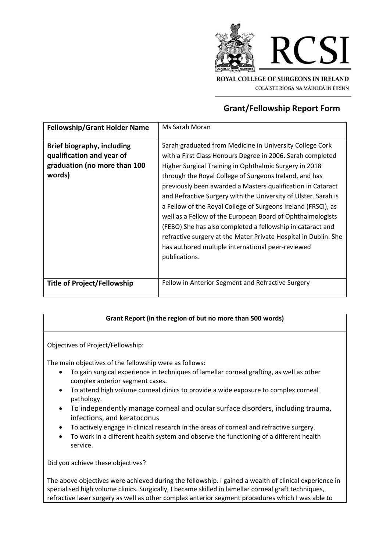

**Grant/Fellowship Report Form**

| <b>Fellowship/Grant Holder Name</b>                                                                                                            | Ms Sarah Moran                                                                                                                                                                                                                                                                                                                                                                                                                                                                                                                                                                                                                                                                                                                                                         |
|------------------------------------------------------------------------------------------------------------------------------------------------|------------------------------------------------------------------------------------------------------------------------------------------------------------------------------------------------------------------------------------------------------------------------------------------------------------------------------------------------------------------------------------------------------------------------------------------------------------------------------------------------------------------------------------------------------------------------------------------------------------------------------------------------------------------------------------------------------------------------------------------------------------------------|
| <b>Brief biography, including</b><br>qualification and year of<br>graduation (no more than 100<br>words)<br><b>Title of Project/Fellowship</b> | Sarah graduated from Medicine in University College Cork<br>with a First Class Honours Degree in 2006. Sarah completed<br>Higher Surgical Training in Ophthalmic Surgery in 2018<br>through the Royal College of Surgeons Ireland, and has<br>previously been awarded a Masters qualification in Cataract<br>and Refractive Surgery with the University of Ulster. Sarah is<br>a Fellow of the Royal College of Surgeons Ireland (FRSCI), as<br>well as a Fellow of the European Board of Ophthalmologists<br>(FEBO) She has also completed a fellowship in cataract and<br>refractive surgery at the Mater Private Hospital in Dublin. She<br>has authored multiple international peer-reviewed<br>publications.<br>Fellow in Anterior Segment and Refractive Surgery |
|                                                                                                                                                |                                                                                                                                                                                                                                                                                                                                                                                                                                                                                                                                                                                                                                                                                                                                                                        |

## **Grant Report (in the region of but no more than 500 words)**

Objectives of Project/Fellowship:

The main objectives of the fellowship were as follows:

- To gain surgical experience in techniques of lamellar corneal grafting, as well as other complex anterior segment cases.
- To attend high volume corneal clinics to provide a wide exposure to complex corneal pathology.
- To independently manage corneal and ocular surface disorders, including trauma, infections, and keratoconus
- To actively engage in clinical research in the areas of corneal and refractive surgery.
- To work in a different health system and observe the functioning of a different health service.

Did you achieve these objectives?

The above objectives were achieved during the fellowship. I gained a wealth of clinical experience in specialised high volume clinics. Surgically, I became skilled in lamellar corneal graft techniques, refractive laser surgery as well as other complex anterior segment procedures which I was able to